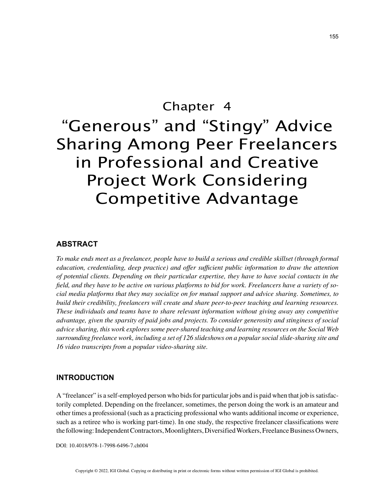# Chapter 4 "Generous" and "Stingy" Advice Sharing Among Peer Freelancers in Professional and Creative Project Work Considering Competitive Advantage

## **ABSTRACT**

*To make ends meet as a freelancer, people have to build a serious and credible skillset (through formal education, credentialing, deep practice) and offer sufficient public information to draw the attention of potential clients. Depending on their particular expertise, they have to have social contacts in the field, and they have to be active on various platforms to bid for work. Freelancers have a variety of social media platforms that they may socialize on for mutual support and advice sharing. Sometimes, to build their credibility, freelancers will create and share peer-to-peer teaching and learning resources. These individuals and teams have to share relevant information without giving away any competitive advantage, given the sparsity of paid jobs and projects. To consider generosity and stinginess of social advice sharing, this work explores some peer-shared teaching and learning resources on the Social Web surrounding freelance work, including a set of 126 slideshows on a popular social slide-sharing site and 16 video transcripts from a popular video-sharing site.*

#### **INTRODUCTION**

A "freelancer" is a self-employed person who bids for particular jobs and is paid when that job is satisfactorily completed. Depending on the freelancer, sometimes, the person doing the work is an amateur and other times a professional (such as a practicing professional who wants additional income or experience, such as a retiree who is working part-time). In one study, the respective freelancer classifications were the following: Independent Contractors, Moonlighters, Diversified Workers, Freelance Business Owners,

DOI: 10.4018/978-1-7998-6496-7.ch004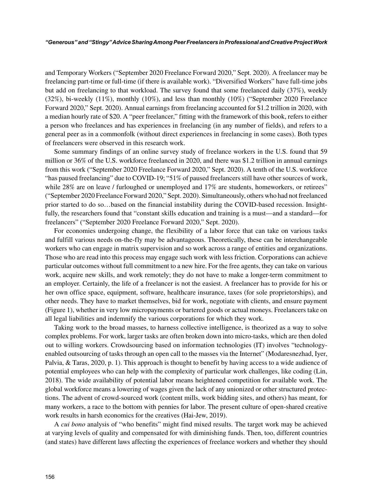and Temporary Workers ("September 2020 Freelance Forward 2020," Sept. 2020). A freelancer may be freelancing part-time or full-time (if there is available work). "Diversified Workers" have full-time jobs but add on freelancing to that workload. The survey found that some freelanced daily (37%), weekly (32%), bi-weekly (11%), monthly (10%), and less than monthly (10%) ("September 2020 Freelance Forward 2020," Sept. 2020). Annual earnings from freelancing accounted for \$1.2 trillion in 2020, with a median hourly rate of \$20. A "peer freelancer," fitting with the framework of this book, refers to either a person who freelances and has experiences in freelancing (in any number of fields), and refers to a general peer as in a commonfolk (without direct experiences in freelancing in some cases). Both types of freelancers were observed in this research work.

Some summary findings of an online survey study of freelance workers in the U.S. found that 59 million or 36% of the U.S. workforce freelanced in 2020, and there was \$1.2 trillion in annual earnings from this work ("September 2020 Freelance Forward 2020," Sept. 2020). A tenth of the U.S. workforce "has paused freelancing" due to COVID-19; "51% of paused freelancers still have other sources of work, while 28% are on leave / furloughed or unemployed and 17% are students, homeworkers, or retirees" ("September 2020 Freelance Forward 2020," Sept. 2020). Simultaneously, others who had not freelanced prior started to do so…based on the financial instability during the COVID-based recession. Insightfully, the researchers found that "constant skills education and training is a must—and a standard—for freelancers" ("September 2020 Freelance Forward 2020," Sept. 2020).

For economies undergoing change, the flexibility of a labor force that can take on various tasks and fulfill various needs on-the-fly may be advantageous. Theoretically, these can be interchangeable workers who can engage in matrix supervision and so work across a range of entities and organizations. Those who are read into this process may engage such work with less friction. Corporations can achieve particular outcomes without full commitment to a new hire. For the free agents, they can take on various work, acquire new skills, and work remotely; they do not have to make a longer-term commitment to an employer. Certainly, the life of a freelancer is not the easiest. A freelancer has to provide for his or her own office space, equipment, software, healthcare insurance, taxes (for sole proprietorships), and other needs. They have to market themselves, bid for work, negotiate with clients, and ensure payment (Figure 1), whether in very low micropayments or bartered goods or actual moneys. Freelancers take on all legal liabilities and indemnify the various corporations for which they work.

Taking work to the broad masses, to harness collective intelligence, is theorized as a way to solve complex problems. For work, larger tasks are often broken down into micro-tasks, which are then doled out to willing workers. Crowdsourcing based on information technologies (IT) involves "technologyenabled outsourcing of tasks through an open call to the masses via the Internet" (Modaresnezhad, Iyer, Palvia, & Taras, 2020, p. 1). This approach is thought to benefit by having access to a wide audience of potential employees who can help with the complexity of particular work challenges, like coding (Lin, 2018). The wide availability of potential labor means heightened competition for available work. The global workforce means a lowering of wages given the lack of any unionized or other structured protections. The advent of crowd-sourced work (content mills, work bidding sites, and others) has meant, for many workers, a race to the bottom with pennies for labor. The present culture of open-shared creative work results in harsh economics for the creatives (Hai-Jew, 2019).

A *cui bono* analysis of "who benefits" might find mixed results. The target work may be achieved at varying levels of quality and compensated for with diminishing funds. Then, too, different countries (and states) have different laws affecting the experiences of freelance workers and whether they should